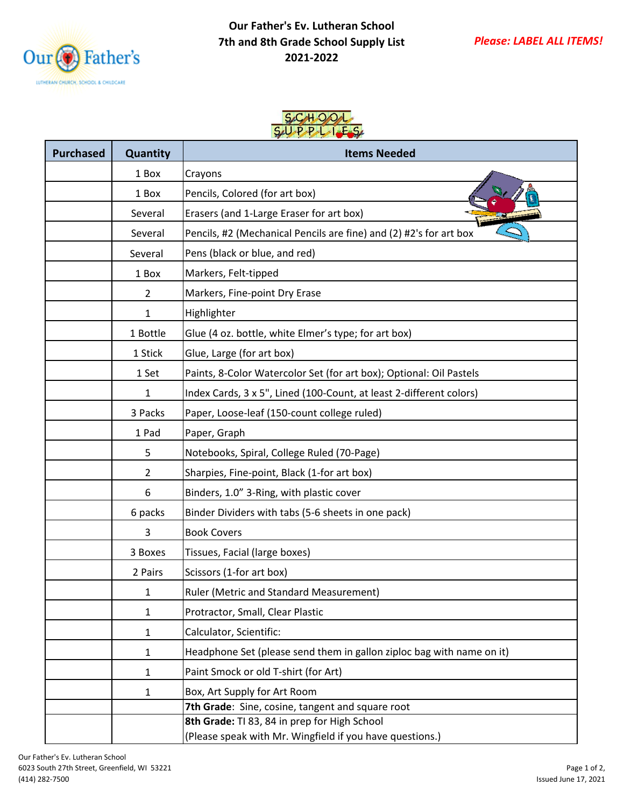

## **Our Father's Ev. Lutheran School 7th and 8th Grade School Supply List 2021-2022**

## $SCHO$  $SAD$   $P$  $P$  $I$

| <b>Purchased</b> | Quantity       | <b>Items Needed</b>                                                                                      |
|------------------|----------------|----------------------------------------------------------------------------------------------------------|
|                  | 1 Box          | Crayons                                                                                                  |
|                  | 1 Box          | Pencils, Colored (for art box)                                                                           |
|                  | Several        | Erasers (and 1-Large Eraser for art box)                                                                 |
|                  | Several        | Pencils, #2 (Mechanical Pencils are fine) and (2) #2's for art box                                       |
|                  | Several        | Pens (black or blue, and red)                                                                            |
|                  | 1 Box          | Markers, Felt-tipped                                                                                     |
|                  | $\overline{2}$ | Markers, Fine-point Dry Erase                                                                            |
|                  | 1              | Highlighter                                                                                              |
|                  | 1 Bottle       | Glue (4 oz. bottle, white Elmer's type; for art box)                                                     |
|                  | 1 Stick        | Glue, Large (for art box)                                                                                |
|                  | 1 Set          | Paints, 8-Color Watercolor Set (for art box); Optional: Oil Pastels                                      |
|                  | 1              | Index Cards, 3 x 5", Lined (100-Count, at least 2-different colors)                                      |
|                  | 3 Packs        | Paper, Loose-leaf (150-count college ruled)                                                              |
|                  | 1 Pad          | Paper, Graph                                                                                             |
|                  | 5              | Notebooks, Spiral, College Ruled (70-Page)                                                               |
|                  | $\overline{2}$ | Sharpies, Fine-point, Black (1-for art box)                                                              |
|                  | 6              | Binders, 1.0" 3-Ring, with plastic cover                                                                 |
|                  | 6 packs        | Binder Dividers with tabs (5-6 sheets in one pack)                                                       |
|                  | 3              | <b>Book Covers</b>                                                                                       |
|                  | 3 Boxes        | Tissues, Facial (large boxes)                                                                            |
|                  | 2 Pairs        | Scissors (1-for art box)                                                                                 |
|                  | 1              | Ruler (Metric and Standard Measurement)                                                                  |
|                  | 1              | Protractor, Small, Clear Plastic                                                                         |
|                  | 1              | Calculator, Scientific:                                                                                  |
|                  | 1              | Headphone Set (please send them in gallon ziploc bag with name on it)                                    |
|                  | 1              | Paint Smock or old T-shirt (for Art)                                                                     |
|                  | 1              | Box, Art Supply for Art Room                                                                             |
|                  |                | 7th Grade: Sine, cosine, tangent and square root                                                         |
|                  |                | 8th Grade: TI 83, 84 in prep for High School<br>(Please speak with Mr. Wingfield if you have questions.) |